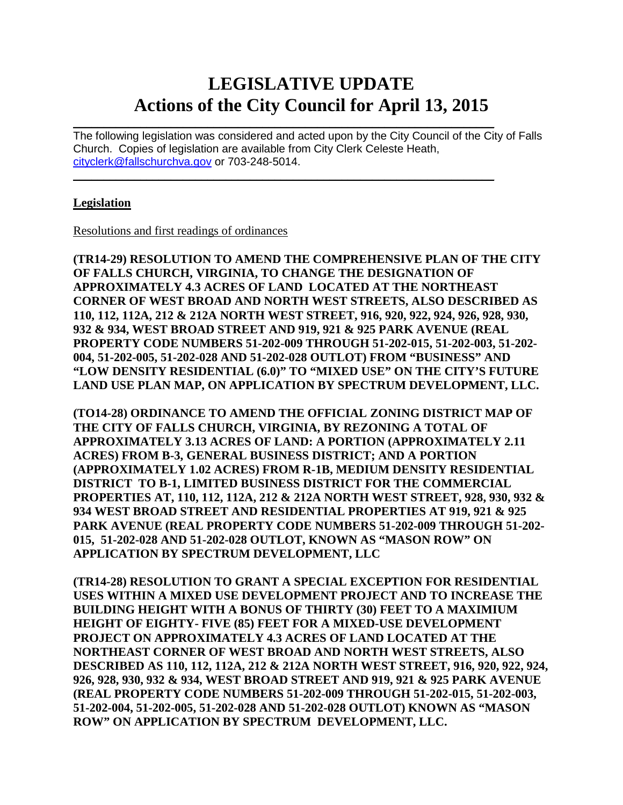# **LEGISLATIVE UPDATE Actions of the City Council for April 13, 2015**

 $\mathcal{L}_\text{max}$  and  $\mathcal{L}_\text{max}$  and  $\mathcal{L}_\text{max}$  and  $\mathcal{L}_\text{max}$  and  $\mathcal{L}_\text{max}$  and  $\mathcal{L}_\text{max}$ The following legislation was considered and acted upon by the City Council of the City of Falls Church. Copies of legislation are available from City Clerk Celeste Heath, [cityclerk@fallschurchva.gov](mailto:cityclerk@fallschurchva.gov) or 703-248-5014.

 $\mathcal{L}_\text{max}$  , and the contract of the contract of the contract of the contract of the contract of the contract of

#### **Legislation**

Resolutions and first readings of ordinances

**(TR14-29) RESOLUTION TO AMEND THE COMPREHENSIVE PLAN OF THE CITY OF FALLS CHURCH, VIRGINIA, TO CHANGE THE DESIGNATION OF APPROXIMATELY 4.3 ACRES OF LAND LOCATED AT THE NORTHEAST CORNER OF WEST BROAD AND NORTH WEST STREETS, ALSO DESCRIBED AS 110, 112, 112A, 212 & 212A NORTH WEST STREET, 916, 920, 922, 924, 926, 928, 930, 932 & 934, WEST BROAD STREET AND 919, 921 & 925 PARK AVENUE (REAL PROPERTY CODE NUMBERS 51-202-009 THROUGH 51-202-015, 51-202-003, 51-202- 004, 51-202-005, 51-202-028 AND 51-202-028 OUTLOT) FROM "BUSINESS" AND "LOW DENSITY RESIDENTIAL (6.0)" TO "MIXED USE" ON THE CITY'S FUTURE LAND USE PLAN MAP, ON APPLICATION BY SPECTRUM DEVELOPMENT, LLC.** 

**(TO14-28) ORDINANCE TO AMEND THE OFFICIAL ZONING DISTRICT MAP OF THE CITY OF FALLS CHURCH, VIRGINIA, BY REZONING A TOTAL OF APPROXIMATELY 3.13 ACRES OF LAND: A PORTION (APPROXIMATELY 2.11 ACRES) FROM B-3, GENERAL BUSINESS DISTRICT; AND A PORTION (APPROXIMATELY 1.02 ACRES) FROM R-1B, MEDIUM DENSITY RESIDENTIAL DISTRICT TO B-1, LIMITED BUSINESS DISTRICT FOR THE COMMERCIAL PROPERTIES AT, 110, 112, 112A, 212 & 212A NORTH WEST STREET, 928, 930, 932 & 934 WEST BROAD STREET AND RESIDENTIAL PROPERTIES AT 919, 921 & 925 PARK AVENUE (REAL PROPERTY CODE NUMBERS 51-202-009 THROUGH 51-202- 015, 51-202-028 AND 51-202-028 OUTLOT, KNOWN AS "MASON ROW" ON APPLICATION BY SPECTRUM DEVELOPMENT, LLC**

**(TR14-28) RESOLUTION TO GRANT A SPECIAL EXCEPTION FOR RESIDENTIAL USES WITHIN A MIXED USE DEVELOPMENT PROJECT AND TO INCREASE THE BUILDING HEIGHT WITH A BONUS OF THIRTY (30) FEET TO A MAXIMIUM HEIGHT OF EIGHTY- FIVE (85) FEET FOR A MIXED-USE DEVELOPMENT PROJECT ON APPROXIMATELY 4.3 ACRES OF LAND LOCATED AT THE NORTHEAST CORNER OF WEST BROAD AND NORTH WEST STREETS, ALSO DESCRIBED AS 110, 112, 112A, 212 & 212A NORTH WEST STREET, 916, 920, 922, 924, 926, 928, 930, 932 & 934, WEST BROAD STREET AND 919, 921 & 925 PARK AVENUE (REAL PROPERTY CODE NUMBERS 51-202-009 THROUGH 51-202-015, 51-202-003, 51-202-004, 51-202-005, 51-202-028 AND 51-202-028 OUTLOT) KNOWN AS "MASON ROW" ON APPLICATION BY SPECTRUM DEVELOPMENT, LLC.**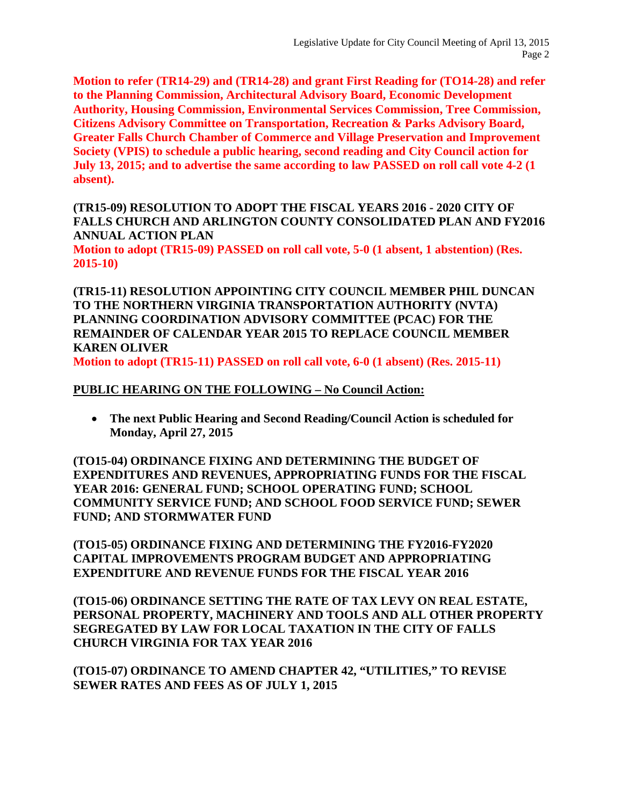**Motion to refer (TR14-29) and (TR14-28) and grant First Reading for (TO14-28) and refer to the Planning Commission, Architectural Advisory Board, Economic Development Authority, Housing Commission, Environmental Services Commission, Tree Commission, Citizens Advisory Committee on Transportation, Recreation & Parks Advisory Board, Greater Falls Church Chamber of Commerce and Village Preservation and Improvement Society (VPIS) to schedule a public hearing, second reading and City Council action for July 13, 2015; and to advertise the same according to law PASSED on roll call vote 4-2 (1 absent).**

**(TR15-09) RESOLUTION TO ADOPT THE FISCAL YEARS 2016 - 2020 CITY OF FALLS CHURCH AND ARLINGTON COUNTY CONSOLIDATED PLAN AND FY2016 ANNUAL ACTION PLAN Motion to adopt (TR15-09) PASSED on roll call vote, 5-0 (1 absent, 1 abstention) (Res. 2015-10)**

**(TR15-11) RESOLUTION APPOINTING CITY COUNCIL MEMBER PHIL DUNCAN TO THE NORTHERN VIRGINIA TRANSPORTATION AUTHORITY (NVTA) PLANNING COORDINATION ADVISORY COMMITTEE (PCAC) FOR THE REMAINDER OF CALENDAR YEAR 2015 TO REPLACE COUNCIL MEMBER KAREN OLIVER**

**Motion to adopt (TR15-11) PASSED on roll call vote, 6-0 (1 absent) (Res. 2015-11)**

#### **PUBLIC HEARING ON THE FOLLOWING – No Council Action:**

• **The next Public Hearing and Second Reading/Council Action is scheduled for Monday, April 27, 2015**

**(TO15-04) ORDINANCE FIXING AND DETERMINING THE BUDGET OF EXPENDITURES AND REVENUES, APPROPRIATING FUNDS FOR THE FISCAL YEAR 2016: GENERAL FUND; SCHOOL OPERATING FUND; SCHOOL COMMUNITY SERVICE FUND; AND SCHOOL FOOD SERVICE FUND; SEWER FUND; AND STORMWATER FUND**

**(TO15-05) ORDINANCE FIXING AND DETERMINING THE FY2016-FY2020 CAPITAL IMPROVEMENTS PROGRAM BUDGET AND APPROPRIATING EXPENDITURE AND REVENUE FUNDS FOR THE FISCAL YEAR 2016**

**(TO15-06) ORDINANCE SETTING THE RATE OF TAX LEVY ON REAL ESTATE, PERSONAL PROPERTY, MACHINERY AND TOOLS AND ALL OTHER PROPERTY SEGREGATED BY LAW FOR LOCAL TAXATION IN THE CITY OF FALLS CHURCH VIRGINIA FOR TAX YEAR 2016**

**(TO15-07) ORDINANCE TO AMEND CHAPTER 42, "UTILITIES," TO REVISE SEWER RATES AND FEES AS OF JULY 1, 2015**